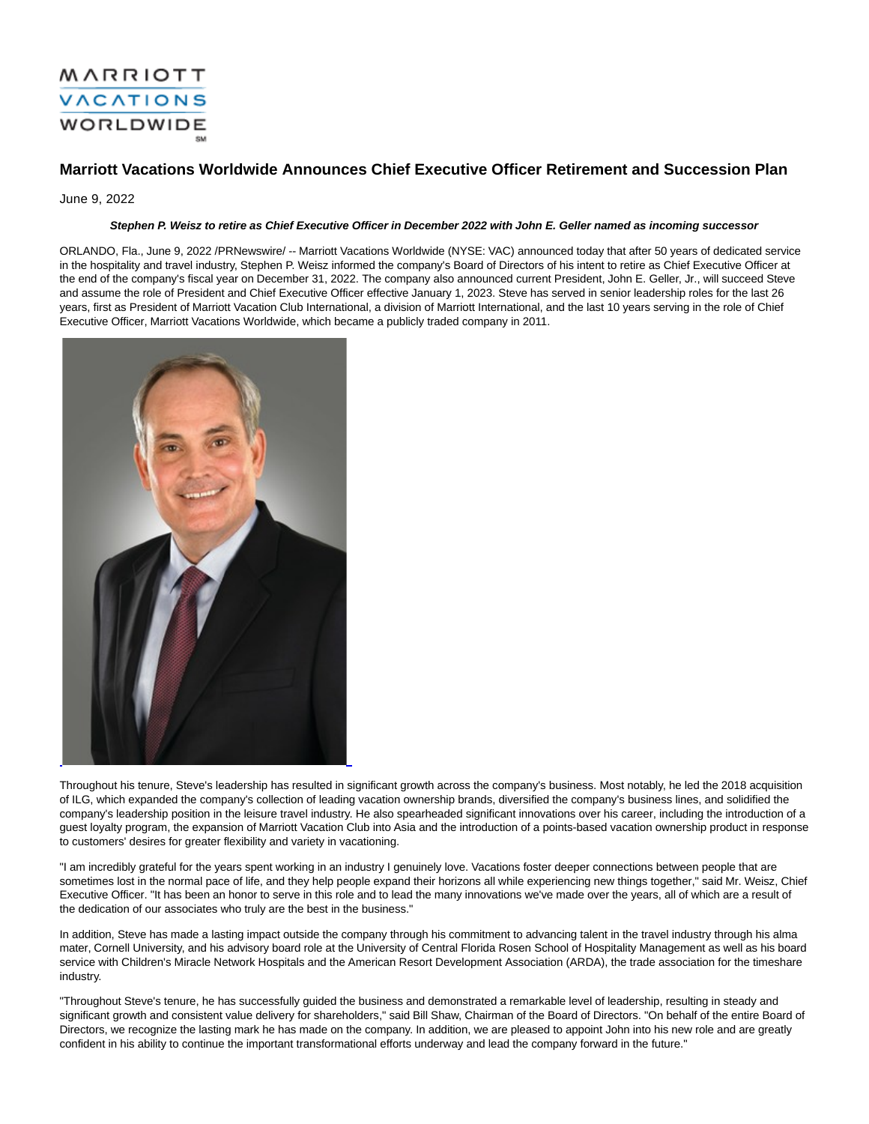## MARRIOTT **VACATIONS WORLDWIDE**

### **Marriott Vacations Worldwide Announces Chief Executive Officer Retirement and Succession Plan**

June 9, 2022

#### **Stephen P. Weisz to retire as Chief Executive Officer in December 2022 with John E. Geller named as incoming successor**

ORLANDO, Fla., June 9, 2022 /PRNewswire/ -- Marriott Vacations Worldwide (NYSE: VAC) announced today that after 50 years of dedicated service in the hospitality and travel industry, Stephen P. Weisz informed the company's Board of Directors of his intent to retire as Chief Executive Officer at the end of the company's fiscal year on December 31, 2022. The company also announced current President, John E. Geller, Jr., will succeed Steve and assume the role of President and Chief Executive Officer effective January 1, 2023. Steve has served in senior leadership roles for the last 26 years, first as President of Marriott Vacation Club International, a division of Marriott International, and the last 10 years serving in the role of Chief Executive Officer, Marriott Vacations Worldwide, which became a publicly traded company in 2011.



Throughout his tenure, Steve's leadership has resulted in significant growth across the company's business. Most notably, he led the 2018 acquisition of ILG, which expanded the company's collection of leading vacation ownership brands, diversified the company's business lines, and solidified the company's leadership position in the leisure travel industry. He also spearheaded significant innovations over his career, including the introduction of a guest loyalty program, the expansion of Marriott Vacation Club into Asia and the introduction of a points-based vacation ownership product in response to customers' desires for greater flexibility and variety in vacationing.

"I am incredibly grateful for the years spent working in an industry I genuinely love. Vacations foster deeper connections between people that are sometimes lost in the normal pace of life, and they help people expand their horizons all while experiencing new things together," said Mr. Weisz, Chief Executive Officer. "It has been an honor to serve in this role and to lead the many innovations we've made over the years, all of which are a result of the dedication of our associates who truly are the best in the business."

In addition, Steve has made a lasting impact outside the company through his commitment to advancing talent in the travel industry through his alma mater, Cornell University, and his advisory board role at the University of Central Florida Rosen School of Hospitality Management as well as his board service with Children's Miracle Network Hospitals and the American Resort Development Association (ARDA), the trade association for the timeshare industry.

"Throughout Steve's tenure, he has successfully guided the business and demonstrated a remarkable level of leadership, resulting in steady and significant growth and consistent value delivery for shareholders," said Bill Shaw, Chairman of the Board of Directors. "On behalf of the entire Board of Directors, we recognize the lasting mark he has made on the company. In addition, we are pleased to appoint John into his new role and are greatly confident in his ability to continue the important transformational efforts underway and lead the company forward in the future."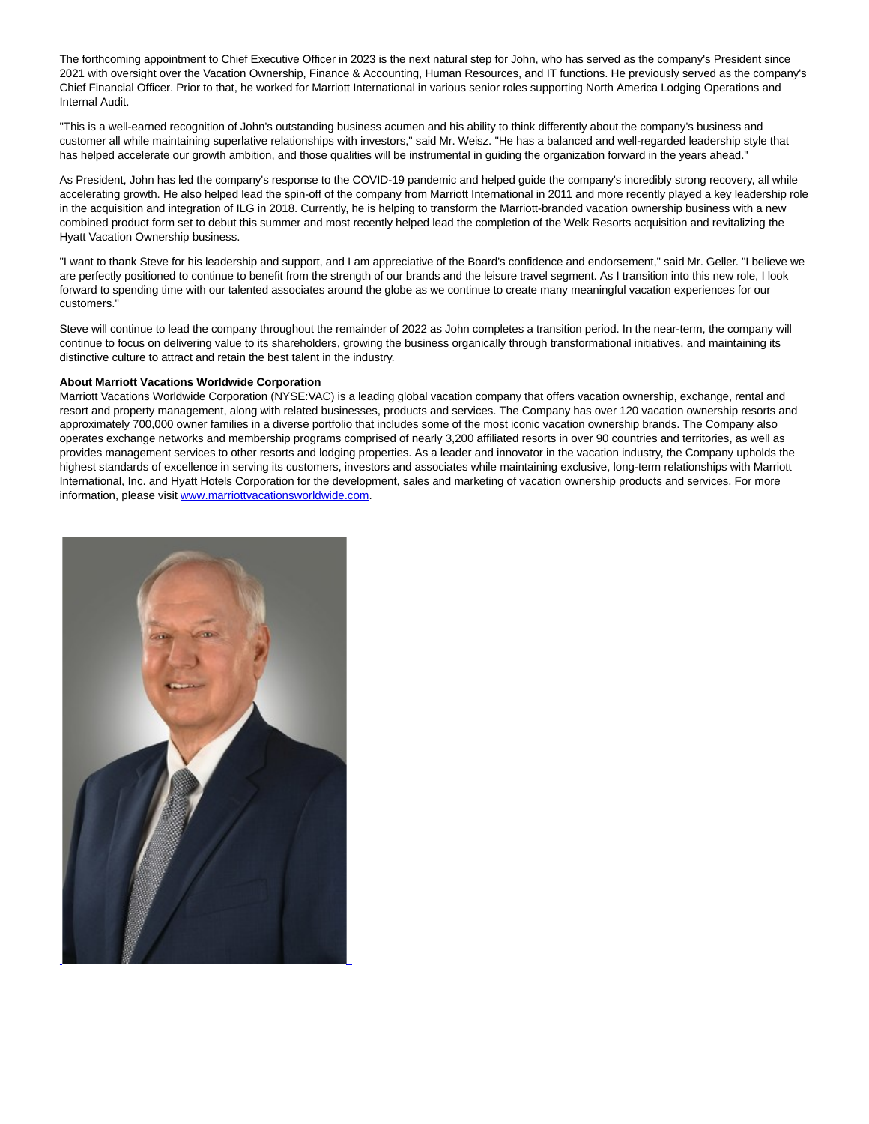The forthcoming appointment to Chief Executive Officer in 2023 is the next natural step for John, who has served as the company's President since 2021 with oversight over the Vacation Ownership, Finance & Accounting, Human Resources, and IT functions. He previously served as the company's Chief Financial Officer. Prior to that, he worked for Marriott International in various senior roles supporting North America Lodging Operations and Internal Audit.

"This is a well-earned recognition of John's outstanding business acumen and his ability to think differently about the company's business and customer all while maintaining superlative relationships with investors," said Mr. Weisz. "He has a balanced and well-regarded leadership style that has helped accelerate our growth ambition, and those qualities will be instrumental in guiding the organization forward in the years ahead."

As President, John has led the company's response to the COVID-19 pandemic and helped guide the company's incredibly strong recovery, all while accelerating growth. He also helped lead the spin-off of the company from Marriott International in 2011 and more recently played a key leadership role in the acquisition and integration of ILG in 2018. Currently, he is helping to transform the Marriott-branded vacation ownership business with a new combined product form set to debut this summer and most recently helped lead the completion of the Welk Resorts acquisition and revitalizing the Hyatt Vacation Ownership business.

"I want to thank Steve for his leadership and support, and I am appreciative of the Board's confidence and endorsement," said Mr. Geller. "I believe we are perfectly positioned to continue to benefit from the strength of our brands and the leisure travel segment. As I transition into this new role, I look forward to spending time with our talented associates around the globe as we continue to create many meaningful vacation experiences for our customers."

Steve will continue to lead the company throughout the remainder of 2022 as John completes a transition period. In the near-term, the company will continue to focus on delivering value to its shareholders, growing the business organically through transformational initiatives, and maintaining its distinctive culture to attract and retain the best talent in the industry.

#### **About Marriott Vacations Worldwide Corporation**

Marriott Vacations Worldwide Corporation (NYSE:VAC) is a leading global vacation company that offers vacation ownership, exchange, rental and resort and property management, along with related businesses, products and services. The Company has over 120 vacation ownership resorts and approximately 700,000 owner families in a diverse portfolio that includes some of the most iconic vacation ownership brands. The Company also operates exchange networks and membership programs comprised of nearly 3,200 affiliated resorts in over 90 countries and territories, as well as provides management services to other resorts and lodging properties. As a leader and innovator in the vacation industry, the Company upholds the highest standards of excellence in serving its customers, investors and associates while maintaining exclusive, long-term relationships with Marriott International, Inc. and Hyatt Hotels Corporation for the development, sales and marketing of vacation ownership products and services. For more information, please visi[t www.marriottvacationsworldwide.com.](https://c212.net/c/link/?t=0&l=en&o=3562837-1&h=3260362435&u=https%3A%2F%2Fc212.net%2Fc%2Flink%2F%3Ft%3D0%26l%3Den%26o%3D3542853-1%26h%3D3345908005%26u%3Dhttps%253A%252F%252Fwww.marriottvacationsworldwide.com%252F%26a%3Dwww.marriottvacationsworldwide.com&a=www.marriottvacationsworldwide.com)